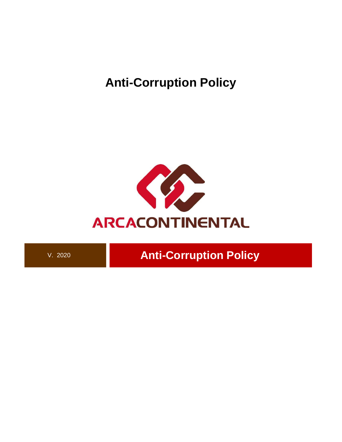**Anti-Corruption Policy**



V. 2020<br>**Anti-Corruption Policy**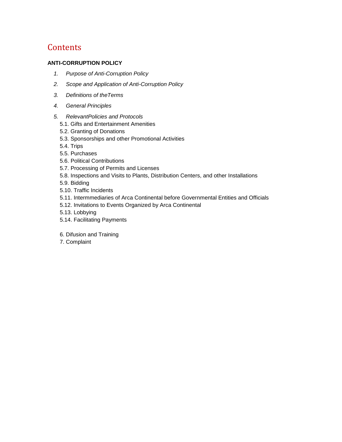# **Contents**

# **[ANTI-CORRUPTION POLICY](#page-2-0)**

- *[1.](#page-2-1) Purpose of Anti-Corruption Policy*
- *2. Scope and Application of Anti-Corruption Policy*
- *3. [Definitions of theTerms](#page-2-2)*
- *4. [General Principles](#page-4-0)*
- *5. [RelevantPolicies and Protocols](#page-4-1)* 
	- [5.1. Gifts and Entertainment Amenities](#page-4-2)
	- [5.2. Granting of Donations](#page-4-3)
	- 5.3. Sponsorships and other Promotional Activities
	- [5.4. Trips](#page-6-0)
	- [5.5. Purchases](#page-6-1)
	- [5.6. Political Contributions](#page-6-2)
	- 5.7. Processing of Permits and Licenses
	- 5.8. Inspections and Visits to Plants, Distribution Centers, and other Installations
	- 5.9. Bidding
	- [5.10. Traffic Incidents](#page-7-0)
	- 5.11. Intermmediaries of Arca Continental before Governmental Entities and Officials
	- 5.12. Invitations to Events Organized by Arca Continental
	- 5.13. Lobbying
	- [5.14. Facilitating Payments](#page-8-0)
	- 6. Difusion and Training
	- 7. Complaint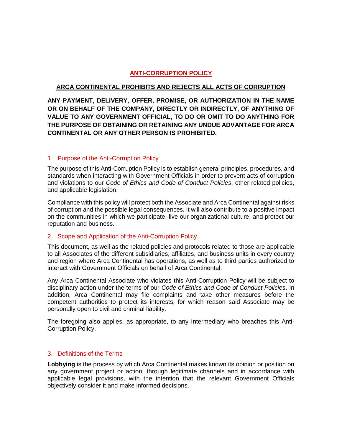# **ANTI-CORRUPTION POLICY**

## <span id="page-2-0"></span>**ARCA CONTINENTAL PROHIBITS AND REJECTS ALL ACTS OF CORRUPTION**

<span id="page-2-1"></span>**ANY PAYMENT, DELIVERY, OFFER, PROMISE, OR AUTHORIZATION IN THE NAME OR ON BEHALF OF THE COMPANY, DIRECTLY OR INDIRECTLY, OF ANYTHING OF VALUE TO ANY GOVERNMENT OFFICIAL, TO DO OR OMIT TO DO ANYTHING FOR THE PURPOSE OF OBTAINING OR RETAINING ANY UNDUE ADVANTAGE FOR ARCA CONTINENTAL OR ANY OTHER PERSON IS PROHIBITED.**

## 1. Purpose of the Anti-Corruption Policy

The purpose of this Anti-Corruption Policy is to establish general principles, procedures, and standards when interacting with Government Officials in order to prevent acts of corruption and violations to our *Code of Ethics and Code of Conduct Policies*, other related policies, and applicable legislation.

Compliance with this policy will protect both the Associate and Arca Continental against risks of corruption and the possible legal consequences. It will also contribute to a positive impact on the communities in which we participate, live our organizational culture, and protect our reputation and business.

## 2. Scope and Application of the Anti-Corruption Policy

This document, as well as the related policies and protocols related to those are applicable to all Associates of the different subsidiaries, affiliates, and business units in every country and region where Arca Continental has operations, as well as to third parties authorized to interact with Government Officials on behalf of Arca Continental.

Any Arca Continental Associate who violates this Anti-Corruption Policy will be subject to disciplinary action under the terms of our *Code of Ethics and Code of Conduct Policies*. In addition, Arca Continental may file complaints and take other measures before the competent authorities to protect its interests, for which reason said Associate may be personally open to civil and criminal liability.

The foregoing also applies, as appropriate, to any Intermediary who breaches this Anti-Corruption Policy.

## <span id="page-2-2"></span>3. Definitions of the Terms

**Lobbying** is the process by which Arca Continental makes known its opinion or position on any government project or action, through legitimate channels and in accordance with applicable legal provisions, with the intention that the relevant Government Officials objectively consider it and make informed decisions.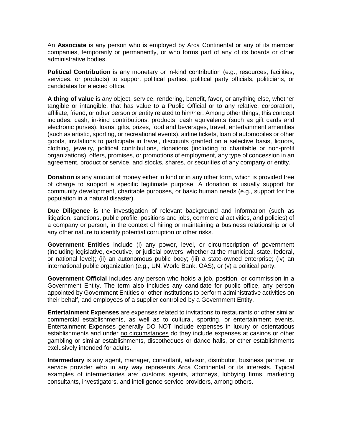An **Associate** is any person who is employed by Arca Continental or any of its member companies, temporarily or permanently, or who forms part of any of its boards or other administrative bodies.

**Political Contribution** is any monetary or in-kind contribution (e.g., resources, facilities, services, or products) to support political parties, political party officials, politicians, or candidates for elected office.

**A thing of value** is any object, service, rendering, benefit, favor, or anything else, whether tangible or intangible, that has value to a Public Official or to any relative, corporation, affiliate, friend, or other person or entity related to him/her. Among other things, this concept includes: cash, in-kind contributions, products, cash equivalents (such as gift cards and electronic purses), loans, gifts, prizes, food and beverages, travel, entertainment amenities (such as artistic, sporting, or recreational events), airline tickets, loan of automobiles or other goods, invitations to participate in travel, discounts granted on a selective basis, liquors, clothing, jewelry, political contributions, donations (including to charitable or non-profit organizations), offers, promises, or promotions of employment, any type of concession in an agreement, product or service, and stocks, shares, or securities of any company or entity.

**Donation** is any amount of money either in kind or in any other form, which is provided free of charge to support a specific legitimate purpose. A donation is usually support for community development, charitable purposes, or basic human needs (e.g., support for the population in a natural disaster).

**Due Diligence** is the investigation of relevant background and information (such as litigation, sanctions, public profile, positions and jobs, commercial activities, and policies) of a company or person, in the context of hiring or maintaining a business relationship or of any other nature to identify potential corruption or other risks.

**Government Entities** include (i) any power, level, or circumscription of government (including legislative, executive, or judicial powers, whether at the municipal, state, federal, or national level); (ii) an autonomous public body; (iii) a state-owned enterprise; (iv) an international public organization (e.g., UN, World Bank, OAS), or (v) a political party.

**Government Official** includes any person who holds a job, position, or commission in a Government Entity. The term also includes any candidate for public office, any person appointed by Government Entities or other institutions to perform administrative activities on their behalf, and employees of a supplier controlled by a Government Entity.

**Entertainment Expenses** are expenses related to invitations to restaurants or other similar commercial establishments, as well as to cultural, sporting, or entertainment events. Entertainment Expenses generally DO NOT include expenses in luxury or ostentatious establishments and under no circumstances do they include expenses at casinos or other gambling or similar establishments, discotheques or dance halls, or other establishments exclusively intended for adults.

**Intermediary** is any agent, manager, consultant, advisor, distributor, business partner, or service provider who in any way represents Arca Continental or its interests. Typical examples of intermediaries are: customs agents, attorneys, lobbying firms, marketing consultants, investigators, and intelligence service providers, among others.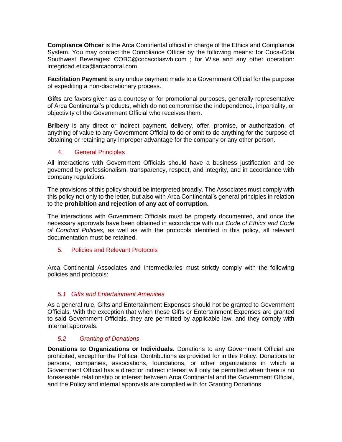**Compliance Officer** is the Arca Continental official in charge of the Ethics and Compliance System. You may contact the Compliance Officer by the following means: for Coca-Cola Southwest Beverages: COBC@cocacolaswb.com ; for Wise and any other operation: integridad.etica@arcacontal.com

**Facilitation Payment** is any undue payment made to a Government Official for the purpose of expediting a non-discretionary process.

**Gifts** are favors given as a courtesy or for promotional purposes, generally representative of Arca Continental's products, which do not compromise the independence, impartiality, or objectivity of the Government Official who receives them.

**Bribery** is any direct or indirect payment, delivery, offer, promise, or authorization, of anything of value to any Government Official to do or omit to do anything for the purpose of obtaining or retaining any improper advantage for the company or any other person.

# <span id="page-4-0"></span>4. General Principles

All interactions with Government Officials should have a business justification and be governed by professionalism, transparency, respect, and integrity, and in accordance with company regulations.

The provisions of this policy should be interpreted broadly. The Associates must comply with this policy not only to the letter, but also with Arca Continental's general principles in relation to the **prohibition and rejection of any act of corruption**.

The interactions with Government Officials must be properly documented, and once the necessary approvals have been obtained in accordance with our *Code of Ethics and Code of Conduct Policies,* as well as with the protocols identified in this policy, all relevant documentation must be retained.

## <span id="page-4-1"></span>5. Policies and Relevant Protocols

Arca Continental Associates and Intermediaries must strictly comply with the following policies and protocols:

## *5.1 Gifts and Entertainment Amenities*

<span id="page-4-2"></span>As a general rule, Gifts and Entertainment Expenses should not be granted to Government Officials. With the exception that when these Gifts or Entertainment Expenses are granted to said Government Officials, they are permitted by applicable law, and they comply with internal approvals.

# <span id="page-4-3"></span>*5.2 Granting of Donations*

**Donations to Organizations or Individuals.** Donations to any Government Official are prohibited, except for the Political Contributions as provided for in this Policy. Donations to persons, companies, associations, foundations, or other organizations in which a Government Official has a direct or indirect interest will only be permitted when there is no foreseeable relationship or interest between Arca Continental and the Government Official, and the Policy and internal approvals are complied with for Granting Donations.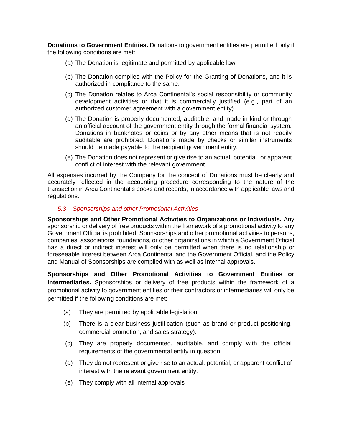**Donations to Government Entities.** Donations to government entities are permitted only if the following conditions are met:

- (a) The Donation is legitimate and permitted by applicable law
- (b) The Donation complies with the Policy for the Granting of Donations, and it is authorized in compliance to the same.
- (c) The Donation relates to Arca Continental's social responsibility or community development activities or that it is commercially justified (e.g., part of an authorized customer agreement with a government entity)..
- (d) The Donation is properly documented, auditable, and made in kind or through an official account of the government entity through the formal financial system. Donations in banknotes or coins or by any other means that is not readily auditable are prohibited. Donations made by checks or similar instruments should be made payable to the recipient government entity.
- (e) The Donation does not represent or give rise to an actual, potential, or apparent conflict of interest with the relevant government.

All expenses incurred by the Company for the concept of Donations must be clearly and accurately reflected in the accounting procedure corresponding to the nature of the transaction in Arca Continental's books and records, in accordance with applicable laws and regulations.

#### *5.3 Sponsorships and other Promotional Activities*

**Sponsorships and Other Promotional Activities to Organizations or Individuals.** Any sponsorship or delivery of free products within the framework of a promotional activity to any Government Official is prohibited. Sponsorships and other promotional activities to persons, companies, associations, foundations, or other organizations in which a Government Official has a direct or indirect interest will only be permitted when there is no relationship or foreseeable interest between Arca Continental and the Government Official, and the Policy and Manual of Sponsorships are complied with as well as internal approvals.

**Sponsorships and Other Promotional Activities to Government Entities or Intermediaries.** Sponsorships or delivery of free products within the framework of a promotional activity to government entities or their contractors or intermediaries will only be permitted if the following conditions are met:

- (a) They are permitted by applicable legislation.
- (b) There is a clear business justification (such as brand or product positioning, commercial promotion, and sales strategy).
- (c) They are properly documented, auditable, and comply with the official requirements of the governmental entity in question.
- (d) They do not represent or give rise to an actual, potential, or apparent conflict of interest with the relevant government entity.
- (e) They comply with all internal approvals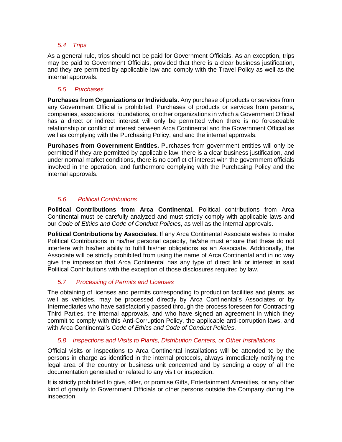# *5.4 Trips*

<span id="page-6-0"></span>As a general rule, trips should not be paid for Government Officials. As an exception, trips may be paid to Government Officials, provided that there is a clear business justification, and they are permitted by applicable law and comply with the Travel Policy as well as the internal approvals.

# *5.5 Purchases*

<span id="page-6-1"></span>**Purchases from Organizations or Individuals.** Any purchase of products or services from any Government Official is prohibited. Purchases of products or services from persons, companies, associations, foundations, or other organizations in which a Government Official has a direct or indirect interest will only be permitted when there is no foreseeable relationship or conflict of interest between Arca Continental and the Government Official as well as complying with the Purchasing Policy, and and the internal approvals.

**Purchases from Government Entities.** Purchases from government entities will only be permitted if they are permitted by applicable law, there is a clear business justification, and under normal market conditions, there is no conflict of interest with the government officials involved in the operation, and furthermore complying with the Purchasing Policy and the internal approvals.

# <span id="page-6-2"></span>*5.6 Political Contributions*

**Political Contributions from Arca Continental.** Political contributions from Arca Continental must be carefully analyzed and must strictly comply with applicable laws and our *Code of Ethics and Code of Conduct Policies*, as well as the internal approvals.

**Political Contributions by Associates.** If any Arca Continental Associate wishes to make Political Contributions in his/her personal capacity, he/she must ensure that these do not interfere with his/her ability to fulfill his/her obligations as an Associate. Additionally, the Associate will be strictly prohibited from using the name of Arca Continental and in no way give the impression that Arca Continental has any type of direct link or interest in said Political Contributions with the exception of those disclosures required by law.

# *5.7 Processing of Permits and Licenses*

The obtaining of licenses and permits corresponding to production facilities and plants, as well as vehicles, may be processed directly by Arca Continental's Associates or by Intermediaries who have satisfactorily passed through the process foreseen for Contracting Third Parties, the internal approvals, and who have signed an agreement in which they commit to comply with this Anti-Corruption Policy, the applicable anti-corruption laws, and with Arca Continental's *Code of Ethics and Code of Conduct Policies*.

# *5.8 Inspections and Visits to Plants, Distribution Centers, or Other Installations*

Official visits or inspections to Arca Continental installations will be attended to by the persons in charge as identified in the internal protocols, always immediately notifying the legal area of the country or business unit concerned and by sending a copy of all the documentation generated or related to any visit or inspection.

It is strictly prohibited to give, offer, or promise Gifts, Entertainment Amenities, or any other kind of gratuity to Government Officials or other persons outside the Company during the inspection.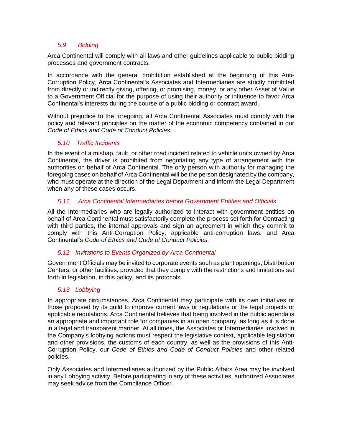## *5.9 Bidding*

Arca Continental will comply with all laws and other guidelines applicable to public bidding processes and government contracts.

In accordance with the general prohibition established at the beginning of this Anti-Corruption Policy, Arca Continental's Associates and Intermediaries are strictly prohibited from directly or indirectly giving, offering, or promising, money, or any other Asset of Value to a Government Official for the purpose of using their authority or influence to favor Arca Continental's interests during the course of a public bidding or contract award.

Without prejudice to the foregoing, all Arca Continental Associates must comply with the policy and relevant principles on the matter of the economic competency contained in our *Code of Ethics and Code of Conduct Policies.*

# *5.10 Traffic Incidents*

<span id="page-7-0"></span>In the event of a mishap, fault, or other road incident related to vehicle units owned by Arca Continental, the driver is prohibited from negotiating any type of arrangement with the authorities on behalf of Arca Continental. The only person with authority for managing the foregoing cases on behalf of Arca Continental will be the person designated by the company, who must operate at the direction of the Legal Deparment and inform the Legal Department when any of these cases occurs.

# *5.11 Arca Continental Intermediaries before Government Entities and Officials*

All the Intermediaries who are legally authorized to interact with government entities on behalf of Arca Continental must satisfactorily complete the process set forth for Contracting with third parties, the internal approvals and sign an agreement in which they commit to comply with this Anti-Corruption Policy, applicable anti-corruption laws, and Arca Continental's *Code of Ethics and Code of Conduct Policies.*

## *5.12 Invitations to Events Organized by Arca Continental*

Government Officials may be invited to corporate events such as plant openings, Distribution Centers, or other facilities, provided that they comply with the restrictions and limitations set forth in legislation, in this policy, and its protocols.

# *5.13 Lobbying*

In appropriate circumstances, Arca Continental may participate with its own initiatives or those proposed by its guild to improve current laws or regulations or the legal projects or applicable regulations. Arca Continental believes that being involved in the public agenda is an appropriate and important role for companies in an open company, as long as it is done in a legal and transparent manner. At all times, the Associates or Intermediaries involved in the Company's lobbying actions must respect the legislative context, applicable legislation and other provisions, the customs of each country, as well as the provisions of this Anti-Corruption Policy, our *Code of Ethics and Code of Conduct Policies* and other related policies.

Only Associates and Intermediaries authorized by the Public Affairs Area may be involved in any Lobbying activity. Before participating in any of these activities, authorized Associates may seek advice from the Compliance Officer.